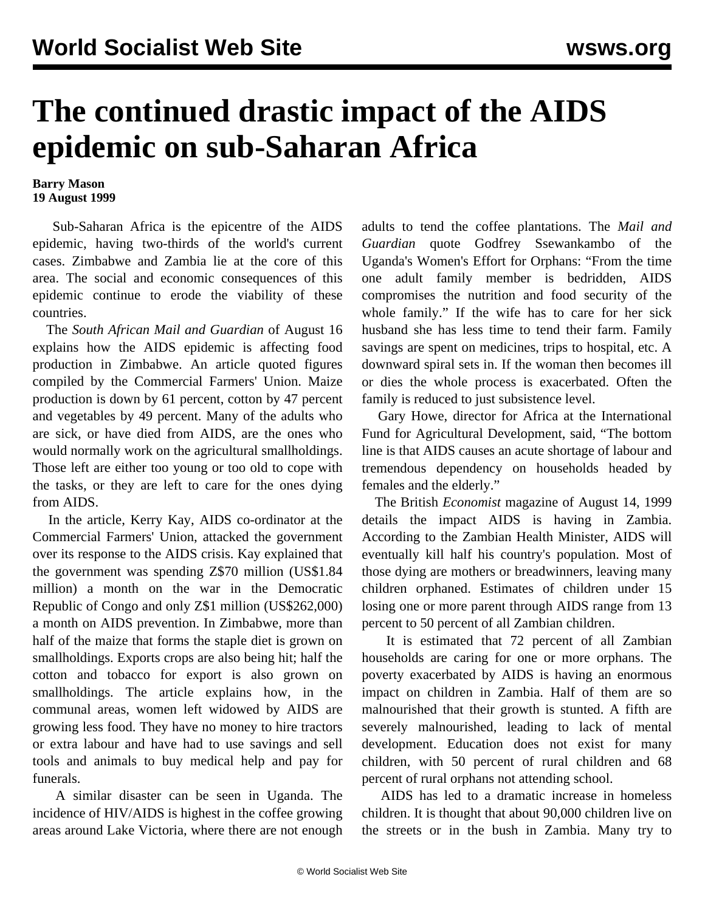## **The continued drastic impact of the AIDS epidemic on sub-Saharan Africa**

## **Barry Mason 19 August 1999**

 Sub-Saharan Africa is the epicentre of the AIDS epidemic, having two-thirds of the world's current cases. Zimbabwe and Zambia lie at the core of this area. The social and economic consequences of this epidemic continue to erode the viability of these countries.

 The *South African Mail and Guardian* of August 16 explains how the AIDS epidemic is affecting food production in Zimbabwe. An article quoted figures compiled by the Commercial Farmers' Union. Maize production is down by 61 percent, cotton by 47 percent and vegetables by 49 percent. Many of the adults who are sick, or have died from AIDS, are the ones who would normally work on the agricultural smallholdings. Those left are either too young or too old to cope with the tasks, or they are left to care for the ones dying from AIDS.

 In the article, Kerry Kay, AIDS co-ordinator at the Commercial Farmers' Union, attacked the government over its response to the AIDS crisis. Kay explained that the government was spending Z\$70 million (US\$1.84 million) a month on the war in the Democratic Republic of Congo and only Z\$1 million (US\$262,000) a month on AIDS prevention. In Zimbabwe, more than half of the maize that forms the staple diet is grown on smallholdings. Exports crops are also being hit; half the cotton and tobacco for export is also grown on smallholdings. The article explains how, in the communal areas, women left widowed by AIDS are growing less food. They have no money to hire tractors or extra labour and have had to use savings and sell tools and animals to buy medical help and pay for funerals.

 A similar disaster can be seen in Uganda. The incidence of HIV/AIDS is highest in the coffee growing areas around Lake Victoria, where there are not enough adults to tend the coffee plantations. The *Mail and Guardian* quote Godfrey Ssewankambo of the Uganda's Women's Effort for Orphans: "From the time one adult family member is bedridden, AIDS compromises the nutrition and food security of the whole family." If the wife has to care for her sick husband she has less time to tend their farm. Family savings are spent on medicines, trips to hospital, etc. A downward spiral sets in. If the woman then becomes ill or dies the whole process is exacerbated. Often the family is reduced to just subsistence level.

 Gary Howe, director for Africa at the International Fund for Agricultural Development, said, "The bottom line is that AIDS causes an acute shortage of labour and tremendous dependency on households headed by females and the elderly."

 The British *Economist* magazine of August 14, 1999 details the impact AIDS is having in Zambia. According to the Zambian Health Minister, AIDS will eventually kill half his country's population. Most of those dying are mothers or breadwinners, leaving many children orphaned. Estimates of children under 15 losing one or more parent through AIDS range from 13 percent to 50 percent of all Zambian children.

 It is estimated that 72 percent of all Zambian households are caring for one or more orphans. The poverty exacerbated by AIDS is having an enormous impact on children in Zambia. Half of them are so malnourished that their growth is stunted. A fifth are severely malnourished, leading to lack of mental development. Education does not exist for many children, with 50 percent of rural children and 68 percent of rural orphans not attending school.

 AIDS has led to a dramatic increase in homeless children. It is thought that about 90,000 children live on the streets or in the bush in Zambia. Many try to